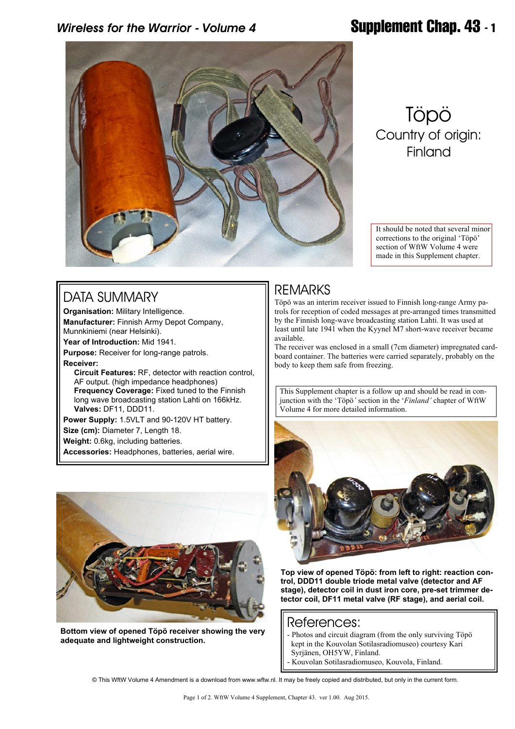## *Wireless for the Warrior - Volume 4* **Supplement Chap. 43 - 1**



# Töpö Country of origin: **Finland**

It should be noted that several minor corrections to the original 'Töpö' section of WftW Volume 4 were made in this Supplement chapter.

#### DATA SUMMARY

**Organisation:** Military Intelligence. **Manufacturer:** Finnish Army Depot Company, Munnkiniemi (near Helsinki).

**Year of Introduction:** Mid 1941.

**Purpose:** Receiver for long-range patrols. **Receiver:**

 **Circuit Features:** RF, detector with reaction control, AF output. (high impedance headphones)  **Frequency Coverage:** Fixed tuned to the Finnish long wave broadcasting station Lahti on 166kHz.  **Valves:** DF11, DDD11.

**Power Supply:** 1.5VLT and 90-120V HT battery. **Size (cm):** Diameter 7, Length 18. **Weight:** 0.6kg, including batteries. **Accessories:** Headphones, batteries, aerial wire.



**Bottom view of opened Töpö receiver showing the very adequate and lightweight construction.**

### REMARKS

Töpö was an interim receiver issued to Finnish long-range Army patrols for reception of coded messages at pre-arranged times transmitted by the Finnish long-wave broadcasting station Lahti. It was used at least until late 1941 when the Kyynel M7 short-wave receiver became available.

The receiver was enclosed in a small (7cm diameter) impregnated cardboard container. The batteries were carried separately, probably on the body to keep them safe from freezing.

This Supplement chapter is a follow up and should be read in conjunction with the 'Töpö*'* section in the '*Finland'* chapter of WftW Volume 4 for more detailed information.



**Top view of opened Töpö: from left to right: reaction control, DDD11 double triode metal valve (detector and AF stage), detector coil in dust iron core, pre-set trimmer detector coil, DF11 metal valve (RF stage), and aerial coil.**

#### References:

- Photos and circuit diagram (from the only surviving Töpö kept in the Kouvolan Sotilasradiomuseo) courtesy Kari Syrjänen, OH5YW, Finland.

- Kouvolan Sotilasradiomuseo, Kouvola, Finland.

© This WftW Volume 4 Amendment is a download from www.wftw.nl. It may be freely copied and distributed, but only in the current form.